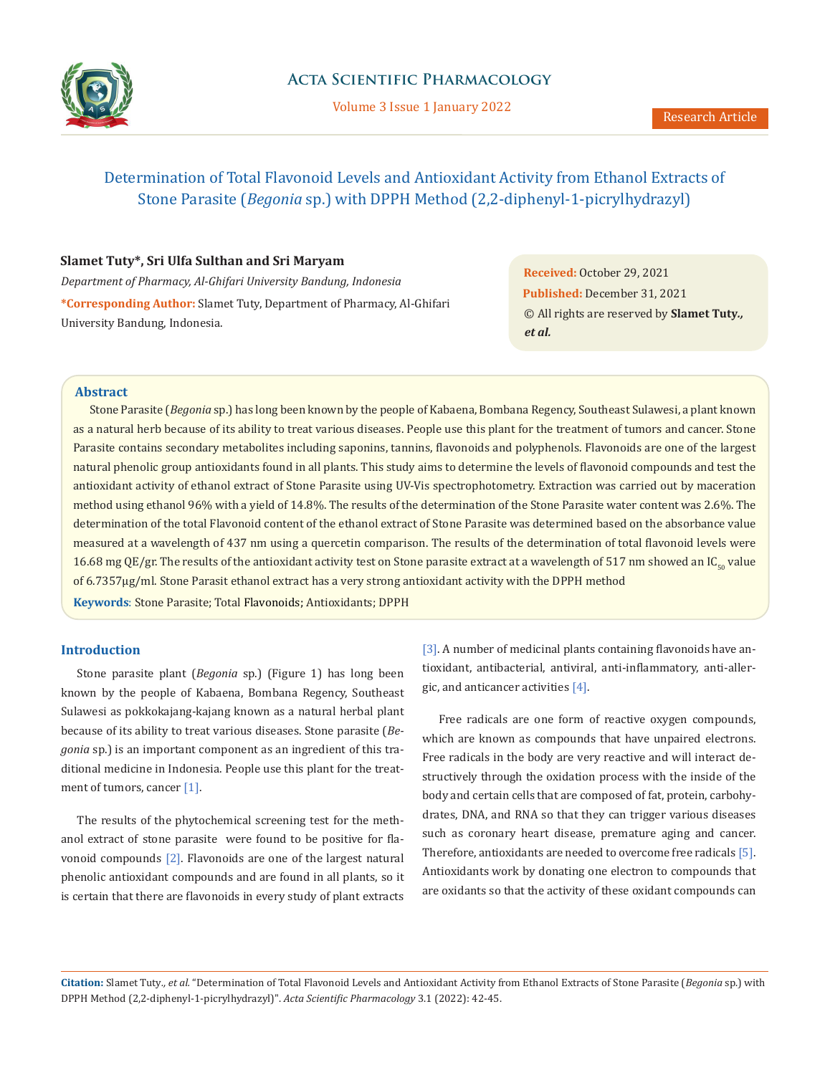

Volume 3 Issue 1 January 2022

# Determination of Total Flavonoid Levels and Antioxidant Activity from Ethanol Extracts of Stone Parasite (*Begonia* sp.) with DPPH Method (2,2-diphenyl-1-picrylhydrazyl)

### **Slamet Tuty\*, Sri Ulfa Sulthan and Sri Maryam**

*Department of Pharmacy, Al-Ghifari University Bandung, Indonesia* **\*Corresponding Author:** Slamet Tuty, Department of Pharmacy, Al-Ghifari University Bandung, Indonesia.

**Received:** October 29, 2021 **Published:** December 31, 2021 © All rights are reserved by **Slamet Tuty***., et al.*

## **Abstract**

Stone Parasite (*Begonia* sp.) has long been known by the people of Kabaena, Bombana Regency, Southeast Sulawesi, a plant known as a natural herb because of its ability to treat various diseases. People use this plant for the treatment of tumors and cancer. Stone Parasite contains secondary metabolites including saponins, tannins, flavonoids and polyphenols. Flavonoids are one of the largest natural phenolic group antioxidants found in all plants. This study aims to determine the levels of flavonoid compounds and test the antioxidant activity of ethanol extract of Stone Parasite using UV-Vis spectrophotometry. Extraction was carried out by maceration method using ethanol 96% with a yield of 14.8%. The results of the determination of the Stone Parasite water content was 2.6%. The determination of the total Flavonoid content of the ethanol extract of Stone Parasite was determined based on the absorbance value measured at a wavelength of 437 nm using a quercetin comparison. The results of the determination of total flavonoid levels were 16.68 mg QE/gr. The results of the antioxidant activity test on Stone parasite extract at a wavelength of 517 nm showed an  $IC_{50}$  value of 6.7357µg/ml. Stone Parasit ethanol extract has a very strong antioxidant activity with the DPPH method

**Keywords**: Stone Parasite; Total Flavonoids; Antioxidants; DPPH

## **Introduction**

Stone parasite plant (*Begonia* sp.) (Figure 1) has long been known by the people of Kabaena, Bombana Regency, Southeast Sulawesi as pokkokajang-kajang known as a natural herbal plant because of its ability to treat various diseases. Stone parasite (*Begonia* sp.) is an important component as an ingredient of this traditional medicine in Indonesia. People use this plant for the treatment of tumors, cancer [1].

The results of the phytochemical screening test for the methanol extract of stone parasite were found to be positive for flavonoid compounds [2]. Flavonoids are one of the largest natural phenolic antioxidant compounds and are found in all plants, so it is certain that there are flavonoids in every study of plant extracts

[3]. A number of medicinal plants containing flavonoids have antioxidant, antibacterial, antiviral, anti-inflammatory, anti-allergic, and anticancer activities [4].

Free radicals are one form of reactive oxygen compounds, which are known as compounds that have unpaired electrons. Free radicals in the body are very reactive and will interact destructively through the oxidation process with the inside of the body and certain cells that are composed of fat, protein, carbohydrates, DNA, and RNA so that they can trigger various diseases such as coronary heart disease, premature aging and cancer. Therefore, antioxidants are needed to overcome free radicals [5]. Antioxidants work by donating one electron to compounds that are oxidants so that the activity of these oxidant compounds can

**Citation:** Slamet Tuty*., et al.* "Determination of Total Flavonoid Levels and Antioxidant Activity from Ethanol Extracts of Stone Parasite (*Begonia* sp.) with DPPH Method (2,2-diphenyl-1-picrylhydrazyl)". *Acta Scientific Pharmacology* 3.1 (2022): 42-45.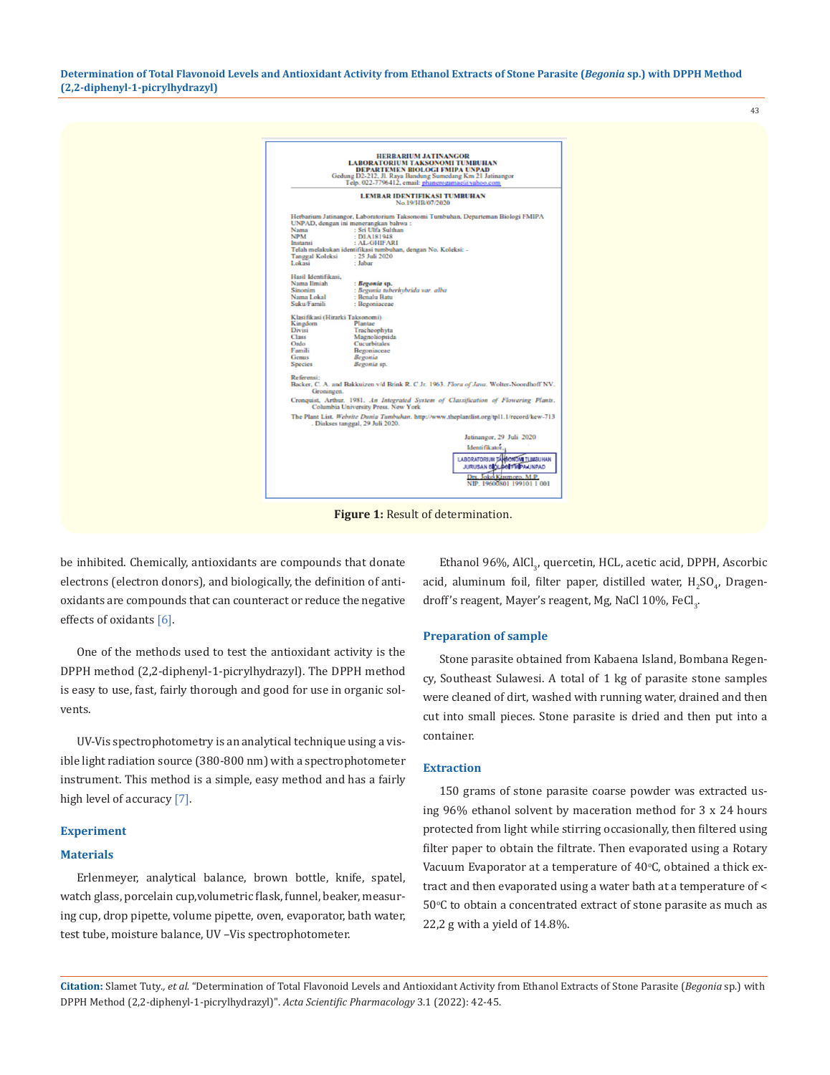**Determination of Total Flavonoid Levels and Antioxidant Activity from Ethanol Extracts of Stone Parasite (***Begonia* **sp.) with DPPH Method (2,2-diphenyl-1-picrylhydrazyl)**

|                                                                                                                                                                                                                                                                                                   | <b>HERBARIUM JATINANGOR</b><br><b>LABORATORIUM TAKSONOMI TUMBUHAN</b><br>DEPARTEMEN BIOLOGI FMIPA UNPAD<br>Gedung D2-212, Jl. Raya Bandung Sumedang Km 21 Jatinangor<br>Telp. 022-7796412, email: phanerogamae@yahoo.com                                                                                                                                                                                                                                                                                                                                                                                                                                                                                |  |
|---------------------------------------------------------------------------------------------------------------------------------------------------------------------------------------------------------------------------------------------------------------------------------------------------|---------------------------------------------------------------------------------------------------------------------------------------------------------------------------------------------------------------------------------------------------------------------------------------------------------------------------------------------------------------------------------------------------------------------------------------------------------------------------------------------------------------------------------------------------------------------------------------------------------------------------------------------------------------------------------------------------------|--|
|                                                                                                                                                                                                                                                                                                   | <b>LEMBAR IDENTIFIKASI TUMBUHAN</b><br>No.19/HB/07/2020                                                                                                                                                                                                                                                                                                                                                                                                                                                                                                                                                                                                                                                 |  |
| Nama<br><b>NPM</b><br>Instansi<br><b>Tanggal Koleksi</b><br>Lokasi<br>Hasil Identifikasi.<br>Nama Ilmiah<br>Sinonim<br>Nama Lokal<br>Suku/Famili<br>Klasifikasi (Hirarki Taksonomi)<br>Kingdom<br><b>Divisi</b><br><b>Class</b><br>Ordo<br>Famili<br>Genus<br>Species<br>Referensi:<br>Groningen. | Herbarium Jatinangor, Laboratorium Taksonomi Tumbuhan, Departeman Biologi FMIPA<br>UNPAD, dengan ini menerangkan bahwa:<br>: Sri Ulfa Sulthan<br>: DIA181948<br>: AL-GHIFARI<br>Telah melakukan identifikasi tumbuhan, dengan No. Koleksi: -<br>: 25 Juli 2020<br>: Jabar<br>: Begonia sp.<br>: Begonia tuberhybrida var. alba<br>: Benalu Batu<br>: Begoniaceae<br>Plantae<br>Tracheophyta<br>Magnoliopsida<br><b>Cucurbitales</b><br>Begoniaceae<br>Beyonia<br>Begonia sp.<br>Backer, C. A. and Bakkuizen v/d Brink R. C Jr. 1963. Flora of Java. Wolter-Noordhoff NV.<br>Cronquist, Arthur. 1981. An Integrated System of Classification of Flowering Plants.<br>Columbia University Press. New York |  |
|                                                                                                                                                                                                                                                                                                   | The Plant List. Website Dunia Tumbuhan. http://www.theplantlist.org/tpl1.1/record/kew-713<br>Diakses tanggal, 29 Juli 2020.                                                                                                                                                                                                                                                                                                                                                                                                                                                                                                                                                                             |  |
|                                                                                                                                                                                                                                                                                                   | Jatinangor, 29 Juli 2020<br>Identifikator.<br>LABORATORIUM TÁHBONOMI TLIMBUHAN<br>JURUSAN BIOLOGI FUIPA UNPAD<br>Drs. Joke Kusmoro, M.P.<br>NIP. 19600801 199101 1 001                                                                                                                                                                                                                                                                                                                                                                                                                                                                                                                                  |  |

be inhibited. Chemically, antioxidants are compounds that donate electrons (electron donors), and biologically, the definition of antioxidants are compounds that can counteract or reduce the negative effects of oxidants [6].

One of the methods used to test the antioxidant activity is the DPPH method (2,2-diphenyl-1-picrylhydrazyl). The DPPH method is easy to use, fast, fairly thorough and good for use in organic solvents.

UV-Vis spectrophotometry is an analytical technique using a visible light radiation source (380-800 nm) with a spectrophotometer instrument. This method is a simple, easy method and has a fairly high level of accuracy [7].

#### **Experiment**

#### **Materials**

Erlenmeyer, analytical balance, brown bottle, knife, spatel, watch glass, porcelain cup,volumetric flask, funnel, beaker, measuring cup, drop pipette, volume pipette, oven, evaporator, bath water, test tube, moisture balance, UV –Vis spectrophotometer.

Ethanol 96%, AlCl<sub>3</sub>, quercetin, HCL, acetic acid, DPPH, Ascorbic acid, aluminum foil, filter paper, distilled water,  $\rm H_2SO_{4'}$  Dragendroff's reagent, Mayer's reagent, Mg, NaCl 10%, FeCl<sub>3</sub>.

43

#### **Preparation of sample**

Stone parasite obtained from Kabaena Island, Bombana Regency, Southeast Sulawesi. A total of 1 kg of parasite stone samples were cleaned of dirt, washed with running water, drained and then cut into small pieces. Stone parasite is dried and then put into a container.

#### **Extraction**

150 grams of stone parasite coarse powder was extracted using 96% ethanol solvent by maceration method for 3 x 24 hours protected from light while stirring occasionally, then filtered using filter paper to obtain the filtrate. Then evaporated using a Rotary Vacuum Evaporator at a temperature of  $40^{\circ}$ C, obtained a thick extract and then evaporated using a water bath at a temperature of <  $50^{\circ}$ C to obtain a concentrated extract of stone parasite as much as 22,2 g with a yield of 14.8%.

**Citation:** Slamet Tuty*., et al.* "Determination of Total Flavonoid Levels and Antioxidant Activity from Ethanol Extracts of Stone Parasite (*Begonia* sp.) with DPPH Method (2,2-diphenyl-1-picrylhydrazyl)". *Acta Scientific Pharmacology* 3.1 (2022): 42-45.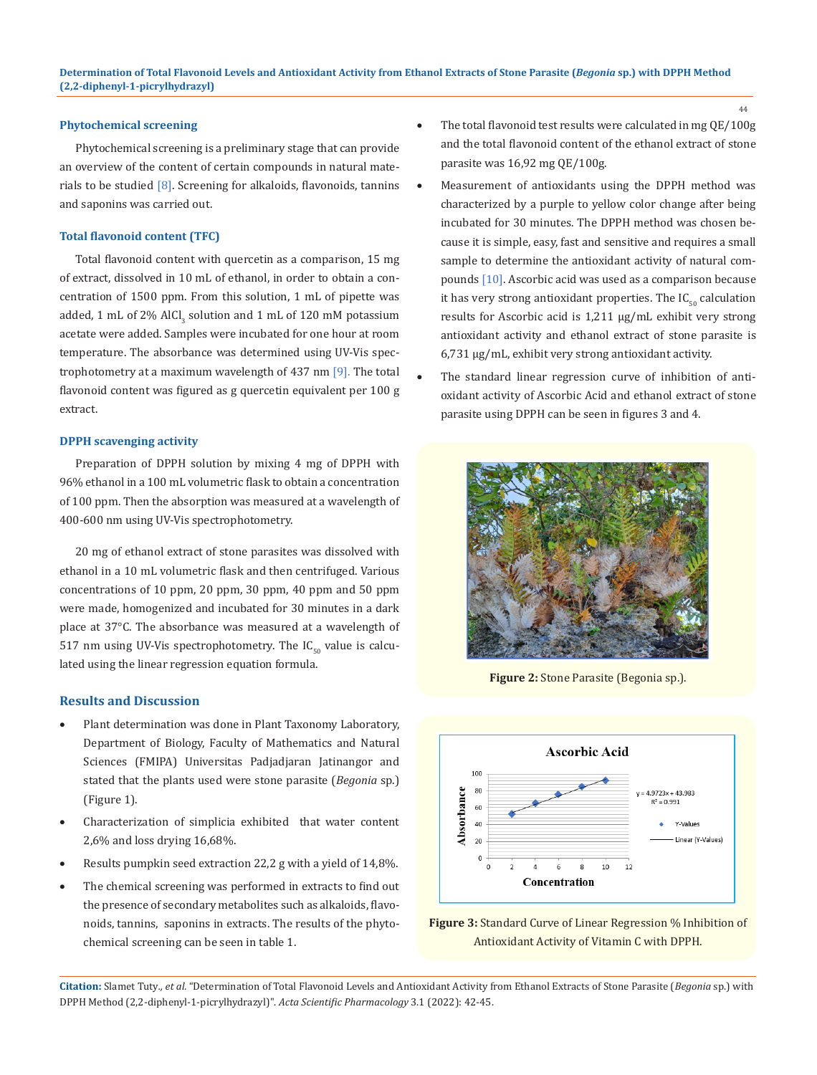#### **Phytochemical screening**

Phytochemical screening is a preliminary stage that can provide an overview of the content of certain compounds in natural materials to be studied [8]. Screening for alkaloids, flavonoids, tannins and saponins was carried out.

#### **Total flavonoid content (TFC)**

Total flavonoid content with quercetin as a comparison, 15 mg of extract, dissolved in 10 mL of ethanol, in order to obtain a concentration of 1500 ppm. From this solution, 1 mL of pipette was added, 1 mL of 2% AICI $_3$  solution and 1 mL of 120 mM potassium acetate were added. Samples were incubated for one hour at room temperature. The absorbance was determined using UV-Vis spectrophotometry at a maximum wavelength of 437 nm [9]. The total flavonoid content was figured as g quercetin equivalent per 100 g extract.

#### **DPPH scavenging activity**

Preparation of DPPH solution by mixing 4 mg of DPPH with 96% ethanol in a 100 mL volumetric flask to obtain a concentration of 100 ppm. Then the absorption was measured at a wavelength of 400-600 nm using UV-Vis spectrophotometry.

20 mg of ethanol extract of stone parasites was dissolved with ethanol in a 10 mL volumetric flask and then centrifuged. Various concentrations of 10 ppm, 20 ppm, 30 ppm, 40 ppm and 50 ppm were made, homogenized and incubated for 30 minutes in a dark place at 37°C. The absorbance was measured at a wavelength of 517 nm using UV-Vis spectrophotometry. The  $IC_{50}$  value is calculated using the linear regression equation formula.

#### **Results and Discussion**

- Plant determination was done in Plant Taxonomy Laboratory, Department of Biology, Faculty of Mathematics and Natural Sciences (FMIPA) Universitas Padjadjaran Jatinangor and stated that the plants used were stone parasite (*Begonia* sp.) (Figure 1).
- • Characterization of simplicia exhibited that water content 2,6% and loss drying 16,68%.
- Results pumpkin seed extraction 22,2 g with a yield of 14,8%.
- The chemical screening was performed in extracts to find out the presence of secondary metabolites such as alkaloids, flavonoids, tannins, saponins in extracts. The results of the phytochemical screening can be seen in table 1.
- The total flavonoid test results were calculated in mg  $QE/100g$ and the total flavonoid content of the ethanol extract of stone parasite was 16,92 mg QE/100g.
- Measurement of antioxidants using the DPPH method was characterized by a purple to yellow color change after being incubated for 30 minutes. The DPPH method was chosen because it is simple, easy, fast and sensitive and requires a small sample to determine the antioxidant activity of natural compounds [10]. Ascorbic acid was used as a comparison because it has very strong antioxidant properties. The  $IC_{50}$  calculation results for Ascorbic acid is 1,211 µg/mL exhibit very strong antioxidant activity and ethanol extract of stone parasite is 6,731 µg/mL, exhibit very strong antioxidant activity.
- The standard linear regression curve of inhibition of antioxidant activity of Ascorbic Acid and ethanol extract of stone parasite using DPPH can be seen in figures 3 and 4.



**Figure 2:** Stone Parasite (Begonia sp.).



**Figure 3:** Standard Curve of Linear Regression % Inhibition of Antioxidant Activity of Vitamin C with DPPH.

**Citation:** Slamet Tuty*., et al.* "Determination of Total Flavonoid Levels and Antioxidant Activity from Ethanol Extracts of Stone Parasite (*Begonia* sp.) with DPPH Method (2,2-diphenyl-1-picrylhydrazyl)". *Acta Scientific Pharmacology* 3.1 (2022): 42-45.

44